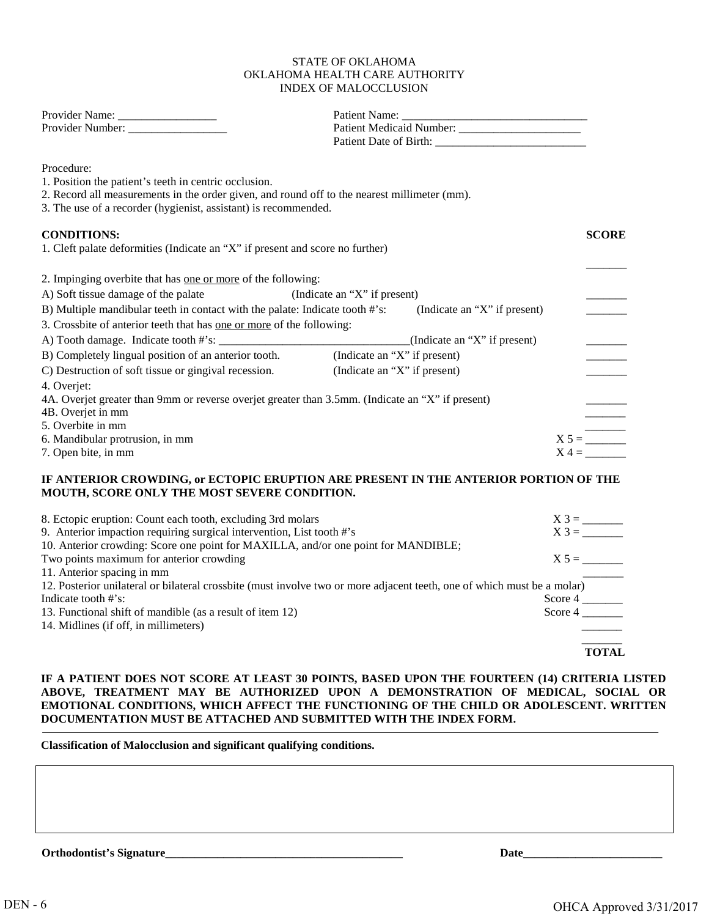#### STATE OF OKLAHOMA OKLAHOMA HEALTH CARE AUTHORITY INDEX OF MALOCCLUSION

| Procedure:                                                                                       |                                                                                                                         |              |
|--------------------------------------------------------------------------------------------------|-------------------------------------------------------------------------------------------------------------------------|--------------|
| 1. Position the patient's teeth in centric occlusion.                                            |                                                                                                                         |              |
| 2. Record all measurements in the order given, and round off to the nearest millimeter (mm).     |                                                                                                                         |              |
| 3. The use of a recorder (hygienist, assistant) is recommended.                                  |                                                                                                                         |              |
| <b>CONDITIONS:</b>                                                                               |                                                                                                                         | <b>SCORE</b> |
| 1. Cleft palate deformities (Indicate an "X" if present and score no further)                    |                                                                                                                         |              |
| 2. Impinging overbite that has <u>one or more</u> of the following:                              |                                                                                                                         |              |
| A) Soft tissue damage of the palate                                                              | (Indicate an "X" if present)                                                                                            |              |
| B) Multiple mandibular teeth in contact with the palate: Indicate tooth #'s:                     | (Indicate an "X" if present)                                                                                            |              |
| 3. Crossbite of anterior teeth that has <u>one or more</u> of the following:                     |                                                                                                                         |              |
|                                                                                                  | $\Box$ (Indicate an "X" if present)                                                                                     |              |
|                                                                                                  | (Indicate an "X" if present)                                                                                            |              |
| C) Destruction of soft tissue or gingival recession.                                             | (Indicate an "X" if present)                                                                                            |              |
| 4. Overjet:                                                                                      |                                                                                                                         |              |
| 4A. Overjet greater than 9mm or reverse overjet greater than 3.5mm. (Indicate an "X" if present) |                                                                                                                         |              |
| 4B. Overjet in mm                                                                                |                                                                                                                         |              |
| 5. Overbite in mm                                                                                |                                                                                                                         |              |
| 6. Mandibular protrusion, in mm                                                                  |                                                                                                                         | $X 5 = \_$   |
| 7. Open bite, in mm                                                                              |                                                                                                                         | $X =$        |
|                                                                                                  | IF ANTERIOR CROWDING, or ECTOPIC ERUPTION ARE PRESENT IN THE ANTERIOR PORTION OF THE                                    |              |
| MOUTH, SCORE ONLY THE MOST SEVERE CONDITION.                                                     |                                                                                                                         |              |
| 8. Ectopic eruption: Count each tooth, excluding 3rd molars                                      |                                                                                                                         |              |
| 9. Anterior impaction requiring surgical intervention, List tooth #'s                            |                                                                                                                         |              |
| 10. Anterior crowding: Score one point for MAXILLA, and/or one point for MANDIBLE;               |                                                                                                                         |              |
| Two points maximum for anterior crowding                                                         |                                                                                                                         | $X 5 =$      |
| 11. Anterior spacing in mm                                                                       |                                                                                                                         |              |
| Indicate tooth #'s:                                                                              | 12. Posterior unilateral or bilateral crossbite (must involve two or more adjacent teeth, one of which must be a molar) |              |
| 13. Functional shift of mandible (as a result of item 12)                                        |                                                                                                                         | Score $4 \_$ |
| 14. Midlines (if off, in millimeters)                                                            |                                                                                                                         |              |
|                                                                                                  |                                                                                                                         | <b>TOTAL</b> |
|                                                                                                  |                                                                                                                         |              |

# **IF A PATIENT DOES NOT SCORE AT LEAST 30 POINTS, BASED UPON THE FOURTEEN (14) CRITERIA LISTED ABOVE, TREATMENT MAY BE AUTHORIZED UPON A DEMONSTRATION OF MEDICAL, SOCIAL OR EMOTIONAL CONDITIONS, WHICH AFFECT THE FUNCTIONING OF THE CHILD OR ADOLESCENT. WRITTEN DOCUMENTATION MUST BE ATTACHED AND SUBMITTED WITH THE INDEX FORM.**

**Classification of Malocclusion and significant qualifying conditions.** 

**Orthodontist's Signature\_\_\_\_\_\_\_\_\_\_\_\_\_\_\_\_\_\_\_\_\_\_\_\_\_\_\_\_\_\_\_\_\_\_\_\_\_\_\_\_\_ Date\_\_\_\_\_\_\_\_\_\_\_\_\_\_\_\_\_\_\_\_\_\_\_\_**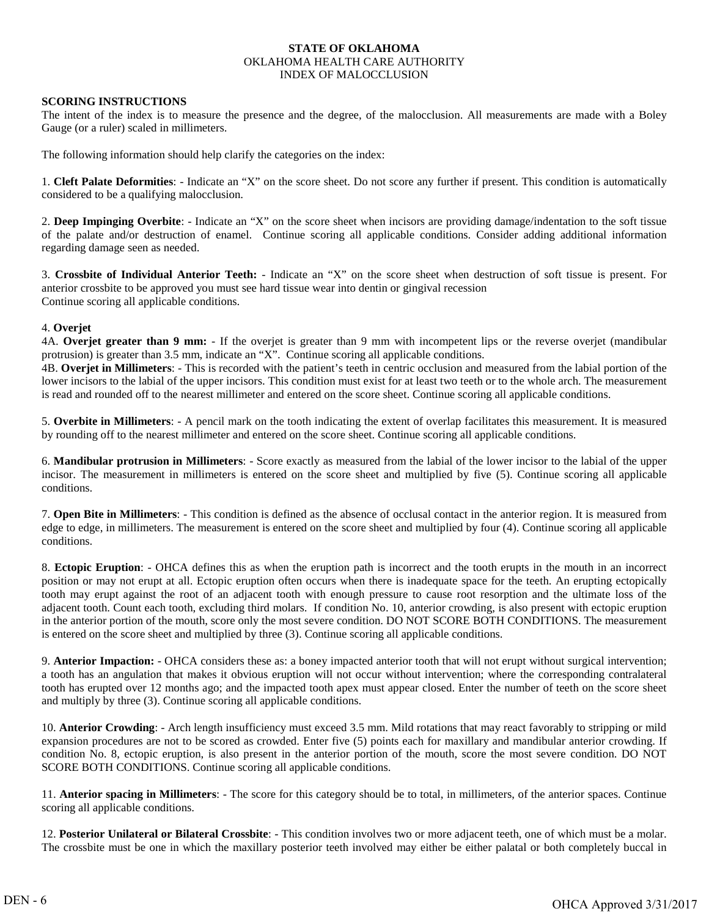## **STATE OF OKLAHOMA** OKLAHOMA HEALTH CARE AUTHORITY INDEX OF MALOCCLUSION

## **SCORING INSTRUCTIONS**

The intent of the index is to measure the presence and the degree, of the malocclusion. All measurements are made with a Boley Gauge (or a ruler) scaled in millimeters.

The following information should help clarify the categories on the index:

1. **Cleft Palate Deformities**: - Indicate an "X" on the score sheet. Do not score any further if present. This condition is automatically considered to be a qualifying malocclusion.

2. **Deep Impinging Overbite**: - Indicate an "X" on the score sheet when incisors are providing damage/indentation to the soft tissue of the palate and/or destruction of enamel. Continue scoring all applicable conditions. Consider adding additional information regarding damage seen as needed.

3. **Crossbite of Individual Anterior Teeth:** - Indicate an "X" on the score sheet when destruction of soft tissue is present. For anterior crossbite to be approved you must see hard tissue wear into dentin or gingival recession Continue scoring all applicable conditions.

#### 4. **Overjet**

4A. **Overjet greater than 9 mm:** - If the overjet is greater than 9 mm with incompetent lips or the reverse overjet (mandibular protrusion) is greater than 3.5 mm, indicate an "X". Continue scoring all applicable conditions.

4B. **Overjet in Millimeters**: - This is recorded with the patient's teeth in centric occlusion and measured from the labial portion of the lower incisors to the labial of the upper incisors. This condition must exist for at least two teeth or to the whole arch. The measurement is read and rounded off to the nearest millimeter and entered on the score sheet. Continue scoring all applicable conditions.

5. **Overbite in Millimeters**: - A pencil mark on the tooth indicating the extent of overlap facilitates this measurement. It is measured by rounding off to the nearest millimeter and entered on the score sheet. Continue scoring all applicable conditions.

6. **Mandibular protrusion in Millimeters**: - Score exactly as measured from the labial of the lower incisor to the labial of the upper incisor. The measurement in millimeters is entered on the score sheet and multiplied by five (5). Continue scoring all applicable conditions.

7. **Open Bite in Millimeters**: - This condition is defined as the absence of occlusal contact in the anterior region. It is measured from edge to edge, in millimeters. The measurement is entered on the score sheet and multiplied by four (4). Continue scoring all applicable conditions.

8. **Ectopic Eruption**: - OHCA defines this as when the eruption path is incorrect and the tooth erupts in the mouth in an incorrect position or may not erupt at all. Ectopic eruption often occurs when there is inadequate space for the teeth. An erupting ectopically tooth may erupt against the root of an adjacent tooth with enough pressure to cause root resorption and the ultimate loss of the adjacent tooth. Count each tooth, excluding third molars. If condition No. 10, anterior crowding, is also present with ectopic eruption in the anterior portion of the mouth, score only the most severe condition. DO NOT SCORE BOTH CONDITIONS. The measurement is entered on the score sheet and multiplied by three (3). Continue scoring all applicable conditions.

9. **Anterior Impaction:** - OHCA considers these as: a boney impacted anterior tooth that will not erupt without surgical intervention; a tooth has an angulation that makes it obvious eruption will not occur without intervention; where the corresponding contralateral tooth has erupted over 12 months ago; and the impacted tooth apex must appear closed. Enter the number of teeth on the score sheet and multiply by three (3). Continue scoring all applicable conditions.

10. **Anterior Crowding**: - Arch length insufficiency must exceed 3.5 mm. Mild rotations that may react favorably to stripping or mild expansion procedures are not to be scored as crowded. Enter five (5) points each for maxillary and mandibular anterior crowding. If condition No. 8, ectopic eruption, is also present in the anterior portion of the mouth, score the most severe condition. DO NOT SCORE BOTH CONDITIONS. Continue scoring all applicable conditions.

11. **Anterior spacing in Millimeters**: - The score for this category should be to total, in millimeters, of the anterior spaces. Continue scoring all applicable conditions.

12. **Posterior Unilateral or Bilateral Crossbite**: - This condition involves two or more adjacent teeth, one of which must be a molar. The crossbite must be one in which the maxillary posterior teeth involved may either be either palatal or both completely buccal in